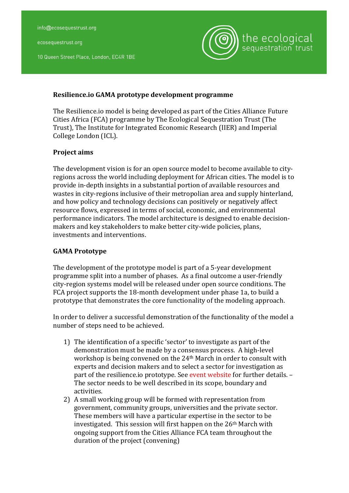ecosequestrust.org

10 Queen Street Place, London, EC4R 1BE



## **Resilience.io GAMA prototype development programme**

The Resilience.io model is being developed as part of the Cities Alliance Future Cities Africa (FCA) programme by The Ecological Sequestration Trust (The Trust), The Institute for Integrated Economic Research (IIER) and Imperial College London (ICL).

## **Project aims**

The development vision is for an open source model to become available to cityregions across the world including deployment for African cities. The model is to provide in-depth insights in a substantial portion of available resources and wastes in city-regions inclusive of their metropolian area and supply hinterland, and how policy and technology decisions can positively or negatively affect resource flows, expressed in terms of social, economic, and environmental performance indicators. The model architecture is designed to enable decisionmakers and key stakeholders to make better city-wide policies, plans, investments and interventions.

## **GAMA Prototype**

The development of the prototype model is part of a 5-year development programme split into a number of phases. As a final outcome a user-friendly city-region systems model will be released under open source conditions. The FCA project supports the 18-month development under phase 1a, to build a prototype that demonstrates the core functionality of the modeling approach.

In order to deliver a successful demonstration of the functionality of the model a number of steps need to be achieved.

- 1) The identification of a specific 'sector' to investigate as part of the demonstration must be made by a consensus process. A high-level workshop is being convened on the  $24<sup>th</sup>$  March in order to consult with experts and decision makers and to select a sector for investigation as part of the resilience.io prototype. See event website for further details. -The sector needs to be well described in its scope, boundary and activities.
- 2) A small working group will be formed with representation from government, community groups, universities and the private sector. These members will have a particular expertise in the sector to be investigated. This session will first happen on the  $26<sup>th</sup>$  March with ongoing support from the Cities Alliance FCA team throughout the duration of the project (convening)